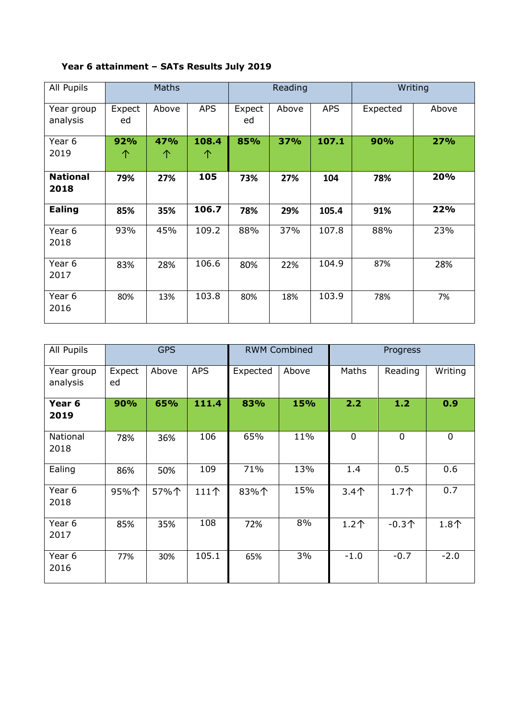| All Pupils              | <b>Maths</b> |          | Reading    |              |       | Writing    |          |       |
|-------------------------|--------------|----------|------------|--------------|-------|------------|----------|-------|
| Year group<br>analysis  | Expect<br>ed | Above    | <b>APS</b> | Expect<br>ed | Above | <b>APS</b> | Expected | Above |
| Year 6<br>2019          | 92%<br>个     | 47%<br>个 | 108.4<br>个 | 85%          | 37%   | 107.1      | 90%      | 27%   |
| <b>National</b><br>2018 | 79%          | 27%      | 105        | 73%          | 27%   | 104        | 78%      | 20%   |
| <b>Ealing</b>           | 85%          | 35%      | 106.7      | 78%          | 29%   | 105.4      | 91%      | 22%   |
| Year 6<br>2018          | 93%          | 45%      | 109.2      | 88%          | 37%   | 107.8      | 88%      | 23%   |
| Year 6<br>2017          | 83%          | 28%      | 106.6      | 80%          | 22%   | 104.9      | 87%      | 28%   |
| Year 6<br>2016          | 80%          | 13%      | 103.8      | 80%          | 18%   | 103.9      | 78%      | 7%    |

## **Year 6 attainment – SATs Results July 2019**

| All Pupils                | <b>GPS</b>   |       |            | <b>RWM Combined</b> |       | Progress    |         |         |
|---------------------------|--------------|-------|------------|---------------------|-------|-------------|---------|---------|
| Year group<br>analysis    | Expect<br>ed | Above | <b>APS</b> | Expected            | Above | Maths       | Reading | Writing |
| Year 6<br>2019            | 90%          | 65%   | 111.4      | 83%                 | 15%   | 2.2         | $1.2$   | 0.9     |
| National<br>2018          | 78%          | 36%   | 106        | 65%                 | 11%   | $\mathbf 0$ | 0       | 0       |
| Ealing                    | 86%          | 50%   | 109        | 71%                 | 13%   | 1.4         | 0.5     | 0.6     |
| Year <sub>6</sub><br>2018 | 95%个         | 57%个  | 111个       | 83%个                | 15%   | $3.4+$      | 1.7个    | 0.7     |
| Year 6<br>2017            | 85%          | 35%   | 108        | 72%                 | 8%    | $1.2+$      | $-0.3+$ | $1.8+$  |
| Year 6<br>2016            | 77%          | 30%   | 105.1      | 65%                 | 3%    | $-1.0$      | $-0.7$  | $-2.0$  |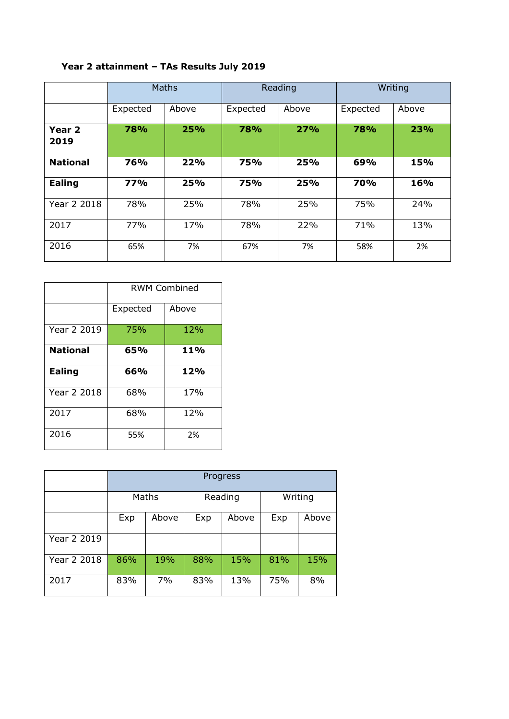## **Year 2 attainment – TAs Results July 2019**

|                 | <b>Maths</b> |       | Reading    |       | Writing  |       |
|-----------------|--------------|-------|------------|-------|----------|-------|
|                 | Expected     | Above | Expected   | Above | Expected | Above |
| Year 2<br>2019  | 78%          | 25%   | <b>78%</b> | 27%   | 78%      | 23%   |
| <b>National</b> | 76%          | 22%   | 75%        | 25%   | 69%      | 15%   |
| Ealing          | <b>77%</b>   | 25%   | 75%        | 25%   | 70%      | 16%   |
| Year 2 2018     | 78%          | 25%   | 78%        | 25%   | 75%      | 24%   |
| 2017            | 77%          | 17%   | 78%        | 22%   | 71%      | 13%   |
| 2016            | 65%          | 7%    | 67%        | 7%    | 58%      | 2%    |

|                 | <b>RWM Combined</b> |       |  |  |  |
|-----------------|---------------------|-------|--|--|--|
|                 | Expected            | Above |  |  |  |
| Year 2 2019     | 75%                 | 12%   |  |  |  |
| <b>National</b> | 65%                 | 11%   |  |  |  |
| <b>Ealing</b>   | 66%                 | 12%   |  |  |  |
| Year 2 2018     | 68%                 | 17%   |  |  |  |
| 2017            | 68%                 | 12%   |  |  |  |
| 2016            | 55%                 | 2%    |  |  |  |

|             | Progress |       |         |       |         |       |
|-------------|----------|-------|---------|-------|---------|-------|
|             | Maths    |       | Reading |       | Writing |       |
|             | Exp      | Above | Exp     | Above | Exp     | Above |
| Year 2 2019 |          |       |         |       |         |       |
| Year 2 2018 | 86%      | 19%   | 88%     | 15%   | 81%     | 15%   |
| 2017        | 83%      | 7%    | 83%     | 13%   | 75%     | 8%    |